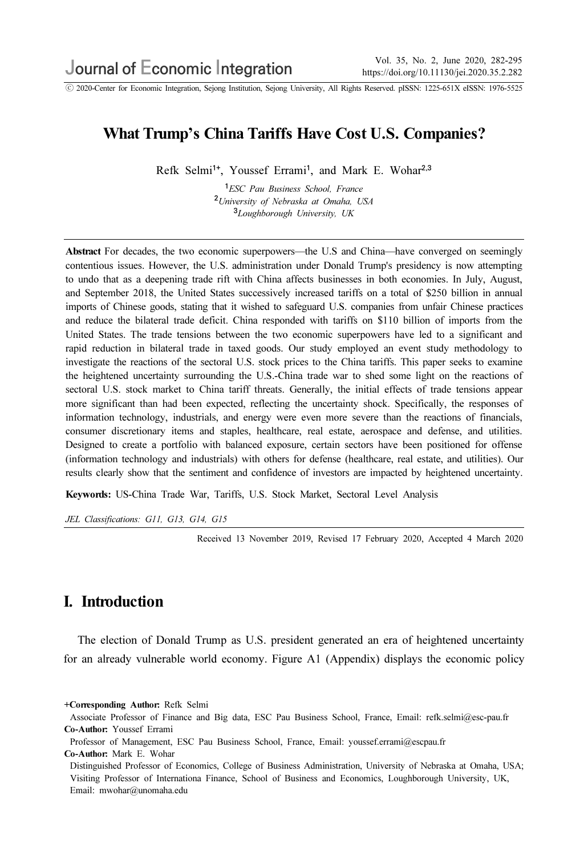ⓒ 2020-Center for Economic Integration, Sejong Institution, Sejong University, All Rights Reserved. pISSN: 1225-651X eISSN: 1976-5525

## What Trump's China Tariffs Have Cost U.S. Companies?

Refk Selmi<sup>1+</sup>, Youssef Errami<sup>1</sup>, and Mark E. Wohar<sup>2,3</sup>

<sup>1</sup>ESC Pau Business School, France <sup>2</sup>University of Nebraska at Omaha, USA <sup>3</sup>Loughborough University, UK

Abstract For decades, the two economic superpowers—the U.S and China—have converged on seemingly contentious issues. However, the U.S. administration under Donald Trump's presidency is now attempting to undo that as a deepening trade rift with China affects businesses in both economies. In July, August, and September 2018, the United States successively increased tariffs on a total of \$250 billion in annual imports of Chinese goods, stating that it wished to safeguard U.S. companies from unfair Chinese practices and reduce the bilateral trade deficit. China responded with tariffs on \$110 billion of imports from the United States. The trade tensions between the two economic superpowers have led to a significant and rapid reduction in bilateral trade in taxed goods. Our study employed an event study methodology to investigate the reactions of the sectoral U.S. stock prices to the China tariffs. This paper seeks to examine the heightened uncertainty surrounding the U.S.-China trade war to shed some light on the reactions of sectoral U.S. stock market to China tariff threats. Generally, the initial effects of trade tensions appear more significant than had been expected, reflecting the uncertainty shock. Specifically, the responses of information technology, industrials, and energy were even more severe than the reactions of financials, consumer discretionary items and staples, healthcare, real estate, aerospace and defense, and utilities. Designed to create a portfolio with balanced exposure, certain sectors have been positioned for offense (information technology and industrials) with others for defense (healthcare, real estate, and utilities). Our results clearly show that the sentiment and confidence of investors are impacted by heightened uncertainty.

Keywords: US-China Trade War, Tariffs, U.S. Stock Market, Sectoral Level Analysis

JEL Classifications: G11, G13, G14, G15

Received 13 November 2019, Revised 17 February 2020, Accepted 4 March 2020

## I. Introduction

The election of Donald Trump as U.S. president generated an era of heightened uncertainty for an already vulnerable world economy. Figure A1 (Appendix) displays the economic policy

+Corresponding Author: Refk Selmi

Associate Professor of Finance and Big data, ESC Pau Business School, France, Email: refk.selmi@esc-pau.fr Co-Author: Youssef Errami

Professor of Management, ESC Pau Business School, France, Email: youssef.errami@escpau.fr Co-Author: Mark E. Wohar

Distinguished Professor of Economics, College of Business Administration, University of Nebraska at Omaha, USA; Visiting Professor of Internationa Finance, School of Business and Economics, Loughborough University, UK, Email: mwohar@unomaha.edu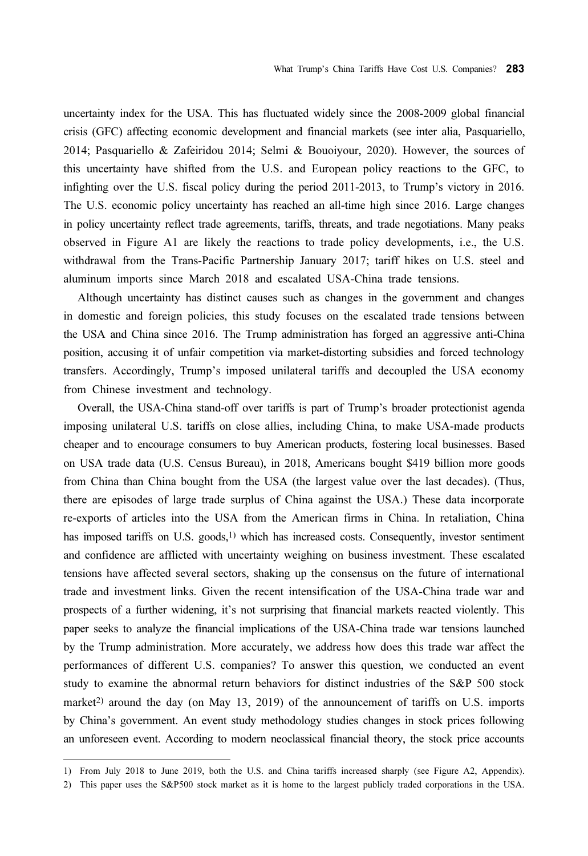uncertainty index for the USA. This has fluctuated widely since the 2008-2009 global financial crisis (GFC) affecting economic development and financial markets (see inter alia, Pasquariello, 2014; Pasquariello & Zafeiridou 2014; Selmi & Bouoiyour, 2020). However, the sources of this uncertainty have shifted from the U.S. and European policy reactions to the GFC, to infighting over the U.S. fiscal policy during the period 2011-2013, to Trump's victory in 2016. The U.S. economic policy uncertainty has reached an all-time high since 2016. Large changes in policy uncertainty reflect trade agreements, tariffs, threats, and trade negotiations. Many peaks observed in Figure A1 are likely the reactions to trade policy developments, i.e., the U.S. withdrawal from the Trans-Pacific Partnership January 2017; tariff hikes on U.S. steel and aluminum imports since March 2018 and escalated USA-China trade tensions.

Although uncertainty has distinct causes such as changes in the government and changes in domestic and foreign policies, this study focuses on the escalated trade tensions between the USA and China since 2016. The Trump administration has forged an aggressive anti-China position, accusing it of unfair competition via market-distorting subsidies and forced technology transfers. Accordingly, Trump's imposed unilateral tariffs and decoupled the USA economy from Chinese investment and technology.

Overall, the USA-China stand-off over tariffs is part of Trump's broader protectionist agenda imposing unilateral U.S. tariffs on close allies, including China, to make USA-made products cheaper and to encourage consumers to buy American products, fostering local businesses. Based on USA trade data (U.S. Census Bureau), in 2018, Americans bought \$419 billion more goods from China than China bought from the USA (the largest value over the last decades). (Thus, there are episodes of large trade surplus of China against the USA.) These data incorporate re-exports of articles into the USA from the American firms in China. In retaliation, China has imposed tariffs on U.S. goods,<sup>1)</sup> which has increased costs. Consequently, investor sentiment and confidence are afflicted with uncertainty weighing on business investment. These escalated tensions have affected several sectors, shaking up the consensus on the future of international trade and investment links. Given the recent intensification of the USA-China trade war and prospects of a further widening, it's not surprising that financial markets reacted violently. This paper seeks to analyze the financial implications of the USA-China trade war tensions launched by the Trump administration. More accurately, we address how does this trade war affect the performances of different U.S. companies? To answer this question, we conducted an event study to examine the abnormal return behaviors for distinct industries of the S&P 500 stock market<sup>2)</sup> around the day (on May 13, 2019) of the announcement of tariffs on U.S. imports by China's government. An event study methodology studies changes in stock prices following an unforeseen event. According to modern neoclassical financial theory, the stock price accounts

<sup>1)</sup> From July 2018 to June 2019, both the U.S. and China tariffs increased sharply (see Figure A2, Appendix).

<sup>2)</sup> This paper uses the S&P500 stock market as it is home to the largest publicly traded corporations in the USA.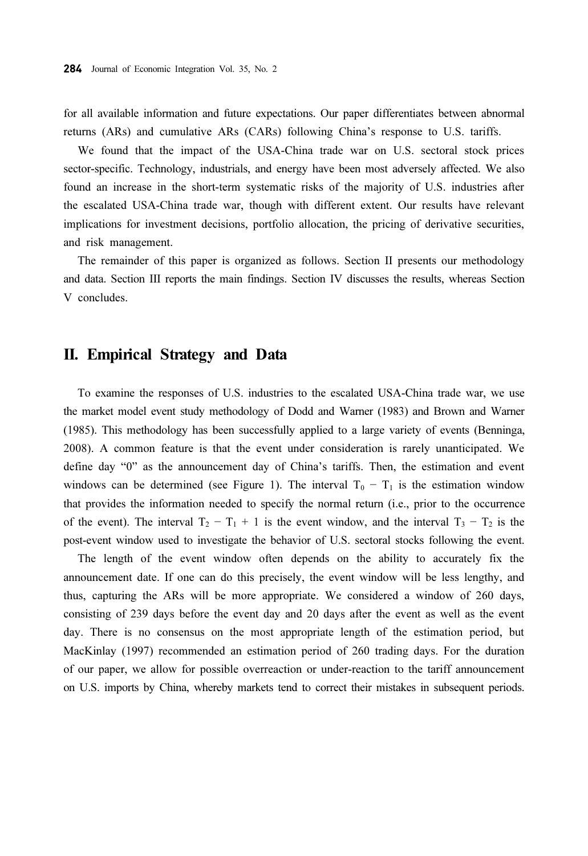for all available information and future expectations. Our paper differentiates between abnormal returns (ARs) and cumulative ARs (CARs) following China's response to U.S. tariffs.

We found that the impact of the USA-China trade war on U.S. sectoral stock prices sector-specific. Technology, industrials, and energy have been most adversely affected. We also found an increase in the short-term systematic risks of the majority of U.S. industries after the escalated USA-China trade war, though with different extent. Our results have relevant implications for investment decisions, portfolio allocation, the pricing of derivative securities, and risk management.

The remainder of this paper is organized as follows. Section II presents our methodology and data. Section III reports the main findings. Section IV discusses the results, whereas Section V concludes.

#### II. Empirical Strategy and Data

To examine the responses of U.S. industries to the escalated USA-China trade war, we use the market model event study methodology of Dodd and Warner (1983) and Brown and Warner (1985). This methodology has been successfully applied to a large variety of events (Benninga, 2008). A common feature is that the event under consideration is rarely unanticipated. We define day "0" as the announcement day of China's tariffs. Then, the estimation and event windows can be determined (see Figure 1). The interval  $T_0 - T_1$  is the estimation window that provides the information needed to specify the normal return (i.e., prior to the occurrence of the event). The interval  $T_2 - T_1 + 1$  is the event window, and the interval  $T_3 - T_2$  is the post-event window used to investigate the behavior of U.S. sectoral stocks following the event.

The length of the event window often depends on the ability to accurately fix the announcement date. If one can do this precisely, the event window will be less lengthy, and thus, capturing the ARs will be more appropriate. We considered a window of 260 days, consisting of 239 days before the event day and 20 days after the event as well as the event day. There is no consensus on the most appropriate length of the estimation period, but MacKinlay (1997) recommended an estimation period of 260 trading days. For the duration of our paper, we allow for possible overreaction or under-reaction to the tariff announcement on U.S. imports by China, whereby markets tend to correct their mistakes in subsequent periods.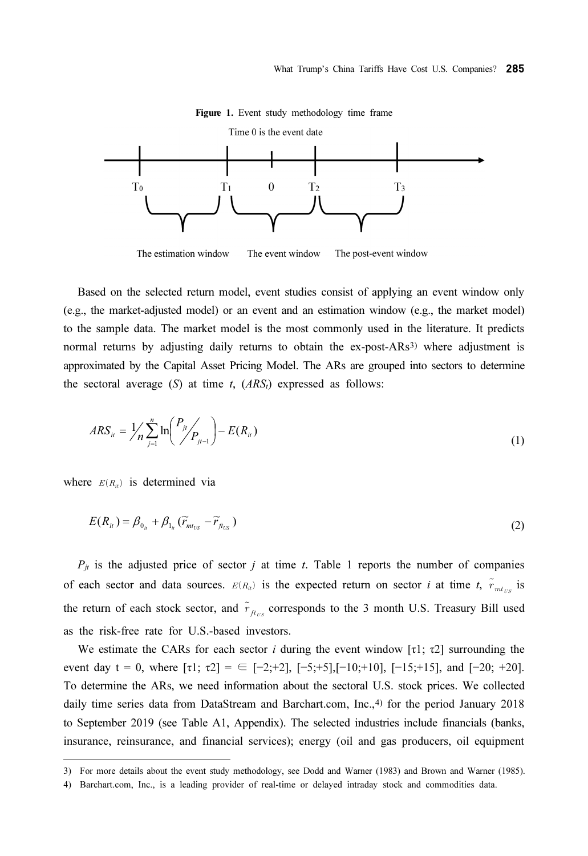

Figure 1. Event study methodology time frame

Based on the selected return model, event studies consist of applying an event window only (e.g., the market-adjusted model) or an event and an estimation window (e.g., the market model) to the sample data. The market model is the most commonly used in the literature. It predicts normal returns by adjusting daily returns to obtain the ex-post-ARs<sup>3)</sup> where adjustment is approximated by the Capital Asset Pricing Model. The ARs are grouped into sectors to determine the sectoral average  $(S)$  at time t,  $(ARS<sub>t</sub>)$  expressed as follows:

$$
ARS_{it} = \frac{1}{n} \sum_{j=1}^{n} \ln \left( \frac{P_{jt}}{P_{jt-1}} \right) - E(R_{it})
$$
\n(1)

where  $E(R_{ii})$  is determined via

$$
E(R_{ii}) = \beta_{0_{ii}} + \beta_{1_{ii}} (\widetilde{r}_{m_{U.S}} - \widetilde{r}_{\widetilde{r}_{U.S}})
$$
\n(2)

 $P_{jt}$  is the adjusted price of sector j at time t. Table 1 reports the number of companies  $P_{jt}$  is the adjusted price of sector *j* at time *t*. Table 1 reports the number of companies of each sector and data sources.  $E(R_{it})$  is the expected return on sector *i* at time *t*,  $\tilde{r}_{mt_{t/s}}$  is of each sector and data sources.  $E(R_u)$  is the expected return on sector *i* at time *t*,  $\tilde{r}_{mt_{US}}$  is the return of each stock sector, and  $\tilde{r}_{th_{US}}$  corresponds to the 3 month U.S. Treasury Bill used as the risk-free rate for U.S.-based investors.

We estimate the CARs for each sector *i* during the event window [ $\tau$ 1;  $\tau$ 2] surrounding the event day t = 0, where  $\lceil \tau_1 \rceil$ ;  $\tau_2 \rceil = \frac{1}{2}$ ;  $\lceil -2; +2 \rceil$ ,  $\lceil -5; +5 \rceil$ ,  $\lceil -10; +10 \rceil$ ,  $\lceil -15; +15 \rceil$ , and  $\lceil -20; +20 \rceil$ . To determine the ARs, we need information about the sectoral U.S. stock prices. We collected daily time series data from DataStream and Barchart.com, Inc.,<sup>4)</sup> for the period January 2018 to September 2019 (see Table A1, Appendix). The selected industries include financials (banks, insurance, reinsurance, and financial services); energy (oil and gas producers, oil equipment

<sup>3)</sup> For more details about the event study methodology, see Dodd and Warner (1983) and Brown and Warner (1985).

<sup>4)</sup> Barchart.com, Inc., is a leading provider of real-time or delayed intraday stock and commodities data.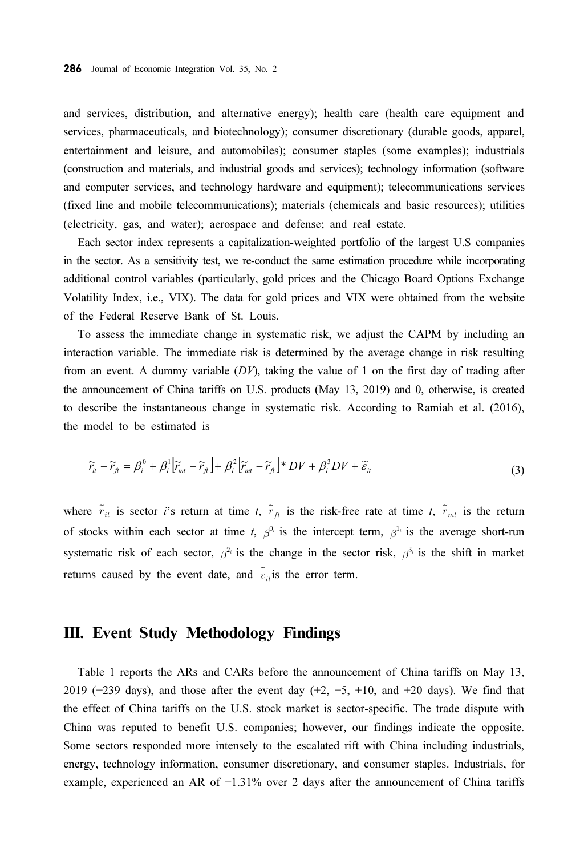and services, distribution, and alternative energy); health care (health care equipment and services, pharmaceuticals, and biotechnology); consumer discretionary (durable goods, apparel, entertainment and leisure, and automobiles); consumer staples (some examples); industrials (construction and materials, and industrial goods and services); technology information (software and computer services, and technology hardware and equipment); telecommunications services (fixed line and mobile telecommunications); materials (chemicals and basic resources); utilities (electricity, gas, and water); aerospace and defense; and real estate.

Each sector index represents a capitalization-weighted portfolio of the largest U.S companies in the sector. As a sensitivity test, we re-conduct the same estimation procedure while incorporating additional control variables (particularly, gold prices and the Chicago Board Options Exchange Volatility Index, i.e., VIX). The data for gold prices and VIX were obtained from the website of the Federal Reserve Bank of St. Louis.

To assess the immediate change in systematic risk, we adjust the CAPM by including an interaction variable. The immediate risk is determined by the average change in risk resulting from an event. A dummy variable  $(DV)$ , taking the value of 1 on the first day of trading after the announcement of China tariffs on U.S. products (May 13, 2019) and 0, otherwise, is created to describe the instantaneous change in systematic risk. According to Ramiah et al. (2016), the model to be estimated is

$$
\widetilde{r}_{it} - \widetilde{r}_{ft} = \beta_i^0 + \beta_i^1 \left[ \widetilde{r}_{mt} - \widetilde{r}_{ft} \right] + \beta_i^2 \left[ \widetilde{r}_{mt} - \widetilde{r}_{ft} \right] \ast DV + \beta_i^3 DV + \widetilde{\varepsilon}_{it}
$$
\n(3)

where  $\tilde{r}_{it}$  is sector *i*'s return at time *t*,  $\tilde{r}_{it}$  is the risk-free rate at time *t*,  $\tilde{r}_{nt}$  is the return of stocks within each sector at time t,  $\beta^{0_i}$  is the intercept term,  $\beta^{1_i}$  is the average short-run systematic risk of each sector,  $\beta^{2_i}$  is the change in the sector risk,  $\beta^{3_i}$  is the shift in market returns systematic risk of each sector,  $\beta^{2_i}$  is the change in the sector risk,  $\beta^{3_i}$  is the shift in market

### III. Event Study Methodology Findings

Table 1 reports the ARs and CARs before the announcement of China tariffs on May 13, 2019 ( $-239$  days), and those after the event day  $(+2, +5, +10, \text{ and } +20 \text{ days})$ . We find that the effect of China tariffs on the U.S. stock market is sector-specific. The trade dispute with China was reputed to benefit U.S. companies; however, our findings indicate the opposite. Some sectors responded more intensely to the escalated rift with China including industrials, energy, technology information, consumer discretionary, and consumer staples. Industrials, for example, experienced an AR of −1.31% over 2 days after the announcement of China tariffs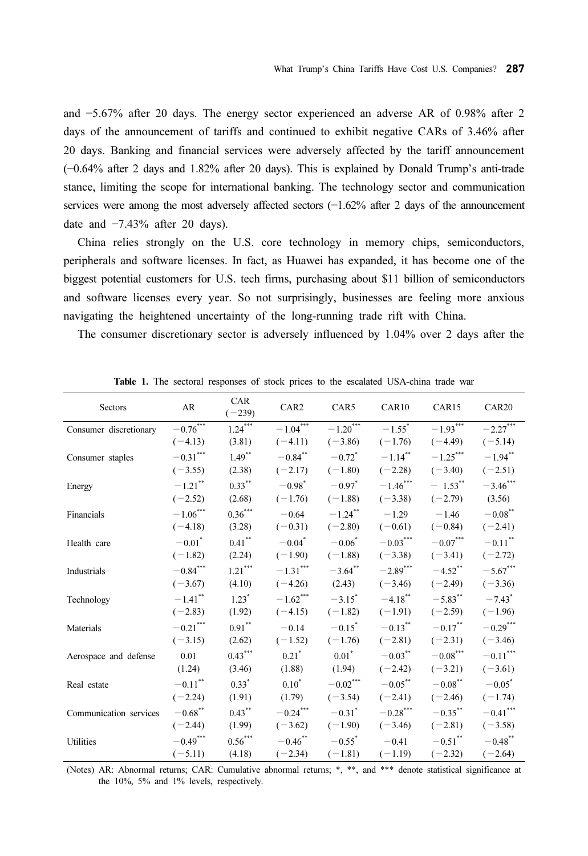and −5.67% after 20 days. The energy sector experienced an adverse AR of 0.98% after 2 days of the announcement of tariffs and continued to exhibit negative CARs of 3.46% after 20 days. Banking and financial services were adversely affected by the tariff announcement (−0.64% after 2 days and 1.82% after 20 days). This is explained by Donald Trump's anti-trade stance, limiting the scope for international banking. The technology sector and communication services were among the most adversely affected sectors (−1.62% after 2 days of the announcement date and −7.43% after 20 days).

China relies strongly on the U.S. core technology in memory chips, semiconductors, peripherals and software licenses. In fact, as Huawei has expanded, it has become one of the biggest potential customers for U.S. tech firms, purchasing about \$11 billion of semiconductors and software licenses every year. So not surprisingly, businesses are feeling more anxious navigating the heightened uncertainty of the long-running trade rift with China.

The consumer discretionary sector is adversely influenced by 1.04% over 2 days after the

| Sectors                | <b>AR</b>            | CAR<br>$(-239)$ | CAR <sub>2</sub>       | CAR5                   | CAR10                | CAR15                  | CAR <sub>20</sub>      |
|------------------------|----------------------|-----------------|------------------------|------------------------|----------------------|------------------------|------------------------|
| Consumer discretionary | $-0.76***$           | 1.24            | $-1.04$ <sup>***</sup> | $-1.20$ <sup>***</sup> | $-1.55$ <sup>*</sup> | $-1.93***$             | $-2.27***$             |
|                        | $(-4.13)$            | (3.81)          | $(-4.11)$              | $(-3.86)$              | $(-1.76)$            | $(-4.49)$              | $(-5.14)$              |
| Consumer staples       | $-0.31***$           | $1.49***$       | $-0.84$ **             | $-0.72$ <sup>*</sup>   | $-1.14$ **           | $-1.25***$             | $-1.94$ **             |
|                        | $(-3.55)$            | (2.38)          | $(-2.17)$              | $(-1.80)$              | $(-2.28)$            | $(-3.40)$              | $(-2.51)$              |
| Energy                 | $-1.21$ **           | $0.33***$       | $-0.98^*$              | $-0.97$ <sup>*</sup>   | $-1.46***$           | $-1.53$ **             | $-3.46***$             |
|                        | $(-2.52)$            | (2.68)          | $(-1.76)$              | $(-1.88)$              | $(-3.38)$            | $(-2.79)$              | (3.56)                 |
| Financials             | $-1.06***$           | $0.36***$       | $-0.64$                | $-1.24$ **             | $-1.29$              | $-1.46$                | $-0.08\overset{**}{ }$ |
|                        | $(-4.18)$            | (3.28)          | $(-0.31)$              | $(-2.80)$              | $(-0.61)$            | $(-0.84)$              | $(-2.41)$              |
| Health care            | $-0.01$ <sup>*</sup> | $0.41***$       | $-0.04$ <sup>*</sup>   | $-0.06^*$              | $-0.03***$           | $-0.07***$             | $-0.11$ <sup>**</sup>  |
|                        | $(-1.82)$            | (2.24)          | $(-1.90)$              | $(-1.88)$              | $(-3.38)$            | $(-3.41)$              | $(-2.72)$              |
| Industrials            | $-0.84***$           | $1.21***$       | $-1.31***$             | $-3.64$ **             | $-2.89***$           | $-4.52$ <sup>**</sup>  | $-5.67***$             |
|                        | $(-3.67)$            | (4.10)          | $(-4.26)$              | (2.43)                 | $(-3.46)$            | $(-2.49)$              | $(-3.36)$              |
| Technology             | $-1.41$ **           | $1.23*$         | $-1.62$ ***            | $-3.15$ <sup>*</sup>   | $-4.18$ **           | $-5.83$ **             | $-7.43$ <sup>*</sup>   |
|                        | $(-2.83)$            | (1.92)          | $(-4.15)$              | $(-1.82)$              | $(-1.91)$            | $(-2.59)$              | $(-1.96)$              |
| Materials              | $-0.21$ ***          | $0.91***$       | $-0.14$                | $-0.15$ <sup>*</sup>   | $-0.13$ **           | $-0.17$ **             | $-0.29***$             |
|                        | $(-3.15)$            | (2.62)          | $(-1.52)$              | $(-1.76)$              | $(-2.81)$            | $(-2.31)$              | $(-3.46)$              |
| Aerospace and defense  | 0.01                 | $0.43***$       | $0.21$ <sup>*</sup>    | $0.01$ <sup>*</sup>    | $-0.03***$           | $-0.08^{\ast\ast\ast}$ | $-0.11***$             |
|                        | (1.24)               | (3.46)          | (1.88)                 | (1.94)                 | $(-2.42)$            | $(-3.21)$              | $(-3.61)$              |
| Real estate            | $-0.11\sp{*}$        | $0.33*$         | $0.10^{*}$             | $-0.02\sp{^{***}}$     | $-0.05***$           | $-0.08^{\ast\ast}$     | $-0.05$ <sup>*</sup>   |
|                        | $(-2.24)$            | (1.91)          | (1.79)                 | $(-3.54)$              | $(-2.41)$            | $(-2.46)$              | $(-1.74)$              |
| Communication services | $-0.68^{\ast\ast}$   | $0.43***$       | $-0.24***$             | $-0.31$ <sup>*</sup>   | $-0.28***$           | $-0.35***$             | $-0.41***$             |
|                        | $(-2.44)$            | (1.99)          | $(-3.62)$              | $(-1.90)$              | $(-3.46)$            | $(-2.81)$              | $(-3.58)$              |
| Utilities              | $-0.49***$           | $0.56***$       | $-0.46$ **             | $-0.55^*$              | $-0.41$              | $-0.51$ **             | $-0.48$ **             |
|                        | $(-5.11)$            | (4.18)          | $(-2.34)$              | $(-1.81)$              | $(-1.19)$            | $(-2.32)$              | $(-2.64)$              |

Table 1. The sectoral responses of stock prices to the escalated USA-china trade war

(Notes) AR: Abnormal returns; CAR: Cumulative abnormal returns; \*, \*\*, and \*\*\* denote statistical significance at the 10%, 5% and 1% levels, respectively.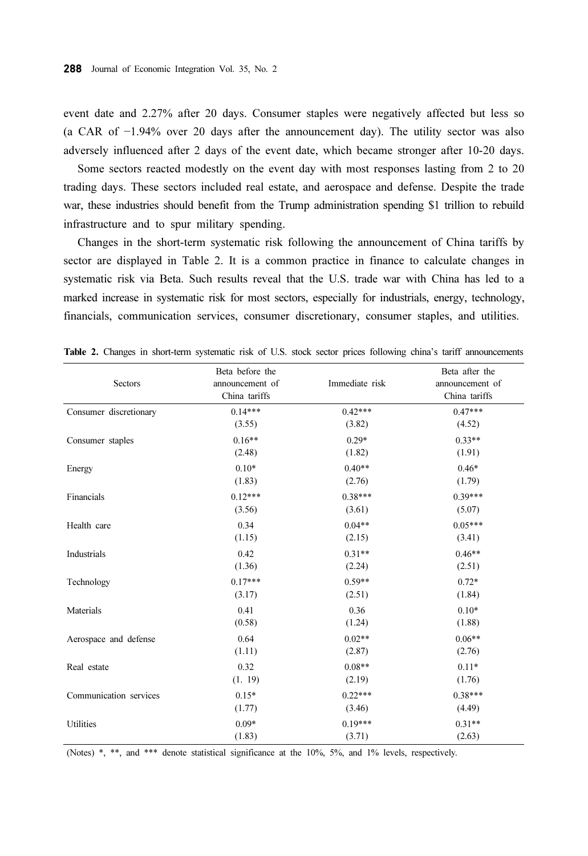event date and 2.27% after 20 days. Consumer staples were negatively affected but less so (a CAR of −1.94% over 20 days after the announcement day). The utility sector was also adversely influenced after 2 days of the event date, which became stronger after 10-20 days.

Some sectors reacted modestly on the event day with most responses lasting from 2 to 20 trading days. These sectors included real estate, and aerospace and defense. Despite the trade war, these industries should benefit from the Trump administration spending \$1 trillion to rebuild infrastructure and to spur military spending.

Changes in the short-term systematic risk following the announcement of China tariffs by sector are displayed in Table 2. It is a common practice in finance to calculate changes in systematic risk via Beta. Such results reveal that the U.S. trade war with China has led to a marked increase in systematic risk for most sectors, especially for industrials, energy, technology, financials, communication services, consumer discretionary, consumer staples, and utilities.

| Sectors                | Beta before the<br>announcement of<br>China tariffs | Immediate risk | Beta after the<br>announcement of<br>China tariffs<br>$0.47***$ |  |
|------------------------|-----------------------------------------------------|----------------|-----------------------------------------------------------------|--|
| Consumer discretionary | $0.14***$                                           | $0.42***$      |                                                                 |  |
|                        | (3.55)                                              | (3.82)         | (4.52)                                                          |  |
| Consumer staples       | $0.16**$                                            | $0.29*$        | $0.33**$                                                        |  |
|                        | (2.48)                                              | (1.82)         | (1.91)                                                          |  |
| Energy                 | $0.10*$                                             | $0.40**$       | $0.46*$                                                         |  |
|                        | (1.83)                                              | (2.76)         | (1.79)                                                          |  |
| Financials             | $0.12***$                                           | $0.38***$      | $0.39***$                                                       |  |
|                        | (3.56)                                              | (3.61)         | (5.07)                                                          |  |
| Health care            | 0.34                                                | $0.04**$       | $0.05***$                                                       |  |
|                        | (1.15)                                              | (2.15)         | (3.41)                                                          |  |
| Industrials            | 0.42                                                | $0.31**$       | $0.46**$                                                        |  |
|                        | (1.36)                                              | (2.24)         | (2.51)                                                          |  |
| Technology             | $0.17***$                                           | $0.59**$       | $0.72*$                                                         |  |
|                        | (3.17)                                              | (2.51)         | (1.84)                                                          |  |
| Materials              | 0.41                                                | 0.36           | $0.10*$                                                         |  |
|                        | (0.58)                                              | (1.24)         | (1.88)                                                          |  |
| Aerospace and defense  | 0.64                                                | $0.02**$       | $0.06**$                                                        |  |
|                        | (1.11)                                              | (2.87)         | (2.76)                                                          |  |
| Real estate            | 0.32                                                | $0.08**$       | $0.11*$                                                         |  |
|                        | (1.19)                                              | (2.19)         | (1.76)                                                          |  |
| Communication services | $0.15*$                                             | $0.22***$      | $0.38***$                                                       |  |
|                        | (1.77)                                              | (3.46)         | (4.49)                                                          |  |
| Utilities              | $0.09*$                                             | $0.19***$      | $0.31**$                                                        |  |
|                        | (1.83)                                              | (3.71)         | (2.63)                                                          |  |

Table 2. Changes in short-term systematic risk of U.S. stock sector prices following china's tariff announcements

(Notes) \*, \*\*, and \*\*\* denote statistical significance at the 10%, 5%, and 1% levels, respectively.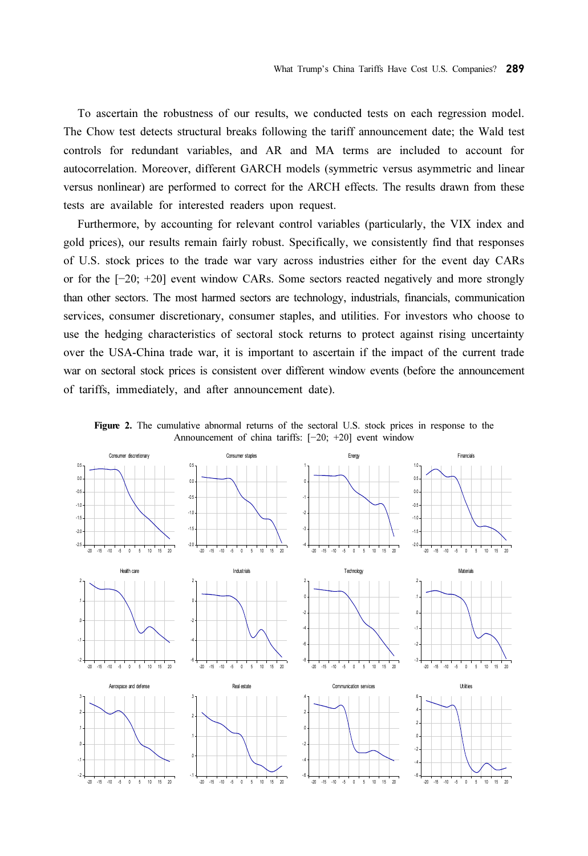To ascertain the robustness of our results, we conducted tests on each regression model. The Chow test detects structural breaks following the tariff announcement date; the Wald test controls for redundant variables, and AR and MA terms are included to account for autocorrelation. Moreover, different GARCH models (symmetric versus asymmetric and linear versus nonlinear) are performed to correct for the ARCH effects. The results drawn from these tests are available for interested readers upon request.

Furthermore, by accounting for relevant control variables (particularly, the VIX index and gold prices), our results remain fairly robust. Specifically, we consistently find that responses of U.S. stock prices to the trade war vary across industries either for the event day CARs or for the [−20; +20] event window CARs. Some sectors reacted negatively and more strongly than other sectors. The most harmed sectors are technology, industrials, financials, communication services, consumer discretionary, consumer staples, and utilities. For investors who choose to use the hedging characteristics of sectoral stock returns to protect against rising uncertainty over the USA-China trade war, it is important to ascertain if the impact of the current trade war on sectoral stock prices is consistent over different window events (before the announcement of tariffs, immediately, and after announcement date).

Figure 2. The cumulative abnormal returns of the sectoral U.S. stock prices in response to the Announcement of china tariffs: [−20; +20] event window

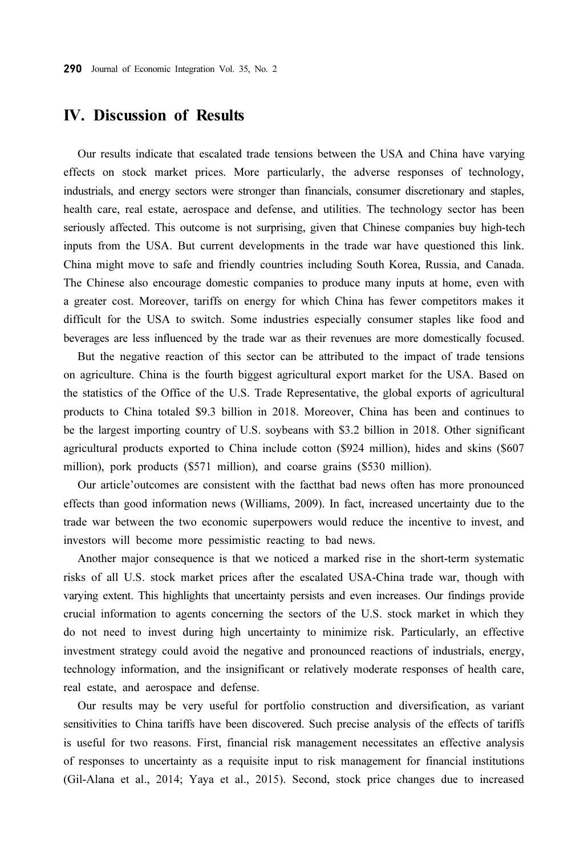#### IV. Discussion of Results

Our results indicate that escalated trade tensions between the USA and China have varying effects on stock market prices. More particularly, the adverse responses of technology, industrials, and energy sectors were stronger than financials, consumer discretionary and staples, health care, real estate, aerospace and defense, and utilities. The technology sector has been seriously affected. This outcome is not surprising, given that Chinese companies buy high-tech inputs from the USA. But current developments in the trade war have questioned this link. China might move to safe and friendly countries including South Korea, Russia, and Canada. The Chinese also encourage domestic companies to produce many inputs at home, even with a greater cost. Moreover, tariffs on energy for which China has fewer competitors makes it difficult for the USA to switch. Some industries especially consumer staples like food and beverages are less influenced by the trade war as their revenues are more domestically focused.

But the negative reaction of this sector can be attributed to the impact of trade tensions on agriculture. China is the fourth biggest agricultural export market for the USA. Based on the statistics of the Office of the U.S. Trade Representative, the global exports of agricultural products to China totaled \$9.3 billion in 2018. Moreover, China has been and continues to be the largest importing country of U.S. soybeans with \$3.2 billion in 2018. Other significant agricultural products exported to China include cotton (\$924 million), hides and skins (\$607 million), pork products (\$571 million), and coarse grains (\$530 million).

Our article'outcomes are consistent with the factthat bad news often has more pronounced effects than good information news (Williams, 2009). In fact, increased uncertainty due to the trade war between the two economic superpowers would reduce the incentive to invest, and investors will become more pessimistic reacting to bad news.

Another major consequence is that we noticed a marked rise in the short-term systematic risks of all U.S. stock market prices after the escalated USA-China trade war, though with varying extent. This highlights that uncertainty persists and even increases. Our findings provide crucial information to agents concerning the sectors of the U.S. stock market in which they do not need to invest during high uncertainty to minimize risk. Particularly, an effective investment strategy could avoid the negative and pronounced reactions of industrials, energy, technology information, and the insignificant or relatively moderate responses of health care, real estate, and aerospace and defense.

Our results may be very useful for portfolio construction and diversification, as variant sensitivities to China tariffs have been discovered. Such precise analysis of the effects of tariffs is useful for two reasons. First, financial risk management necessitates an effective analysis of responses to uncertainty as a requisite input to risk management for financial institutions (Gil-Alana et al., 2014; Yaya et al., 2015). Second, stock price changes due to increased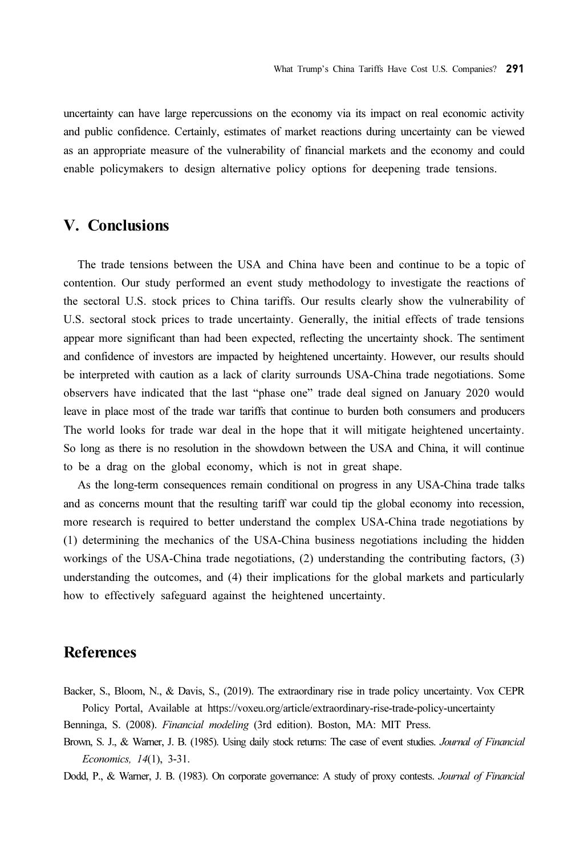uncertainty can have large repercussions on the economy via its impact on real economic activity and public confidence. Certainly, estimates of market reactions during uncertainty can be viewed as an appropriate measure of the vulnerability of financial markets and the economy and could enable policymakers to design alternative policy options for deepening trade tensions.

## V. Conclusions

The trade tensions between the USA and China have been and continue to be a topic of contention. Our study performed an event study methodology to investigate the reactions of the sectoral U.S. stock prices to China tariffs. Our results clearly show the vulnerability of U.S. sectoral stock prices to trade uncertainty. Generally, the initial effects of trade tensions appear more significant than had been expected, reflecting the uncertainty shock. The sentiment and confidence of investors are impacted by heightened uncertainty. However, our results should be interpreted with caution as a lack of clarity surrounds USA-China trade negotiations. Some observers have indicated that the last "phase one" trade deal signed on January 2020 would leave in place most of the trade war tariffs that continue to burden both consumers and producers The world looks for trade war deal in the hope that it will mitigate heightened uncertainty. So long as there is no resolution in the showdown between the USA and China, it will continue to be a drag on the global economy, which is not in great shape.

As the long-term consequences remain conditional on progress in any USA-China trade talks and as concerns mount that the resulting tariff war could tip the global economy into recession, more research is required to better understand the complex USA-China trade negotiations by (1) determining the mechanics of the USA-China business negotiations including the hidden workings of the USA-China trade negotiations, (2) understanding the contributing factors, (3) understanding the outcomes, and (4) their implications for the global markets and particularly how to effectively safeguard against the heightened uncertainty.

#### References

Backer, S., Bloom, N., & Davis, S., (2019). The extraordinary rise in trade policy uncertainty. Vox CEPR Policy Portal, Available at https://voxeu.org/article/extraordinary-rise-trade-policy-uncertainty

Benninga, S. (2008). Financial modeling (3rd edition). Boston, MA: MIT Press.

Brown, S. J., & Warner, J. B. (1985). Using daily stock returns: The case of event studies. Journal of Financial Economics, 14(1), 3-31.

Dodd, P., & Warner, J. B. (1983). On corporate governance: A study of proxy contests. Journal of Financial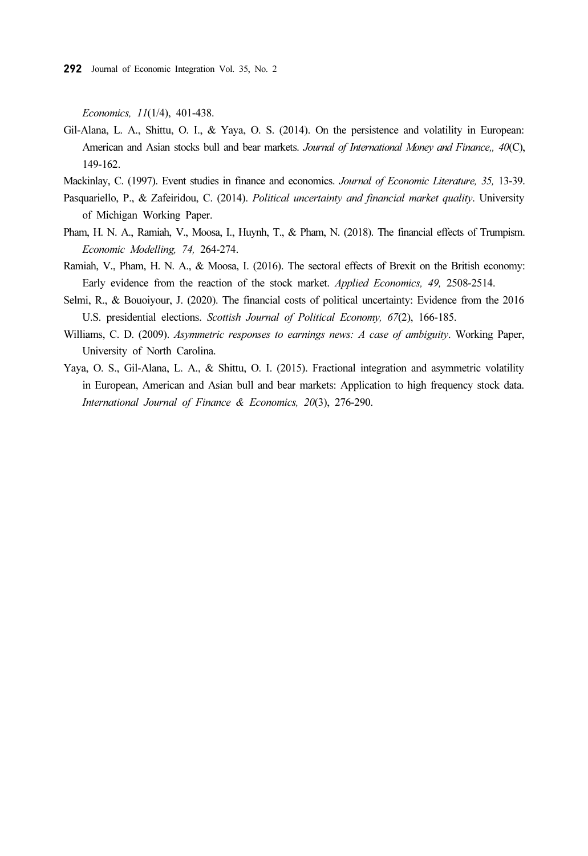Economics, 11(1/4), 401-438.

- Gil-Alana, L. A., Shittu, O. I., & Yaya, O. S. (2014). On the persistence and volatility in European: American and Asian stocks bull and bear markets. Journal of International Money and Finance,, 40(C), 149-162.
- Mackinlay, C. (1997). Event studies in finance and economics. Journal of Economic Literature, 35, 13-39.
- Pasquariello, P., & Zafeiridou, C. (2014). Political uncertainty and financial market quality. University of Michigan Working Paper.
- Pham, H. N. A., Ramiah, V., Moosa, I., Huynh, T., & Pham, N. (2018). The financial effects of Trumpism. Economic Modelling, 74, 264-274.
- Ramiah, V., Pham, H. N. A., & Moosa, I. (2016). The sectoral effects of Brexit on the British economy: Early evidence from the reaction of the stock market. Applied Economics, 49, 2508-2514.
- Selmi, R., & Bouoiyour, J. (2020). The financial costs of political uncertainty: Evidence from the 2016 U.S. presidential elections. Scottish Journal of Political Economy, 67(2), 166-185.
- Williams, C. D. (2009). Asymmetric responses to earnings news: A case of ambiguity. Working Paper, University of North Carolina.
- Yaya, O. S., Gil-Alana, L. A., & Shittu, O. I. (2015). Fractional integration and asymmetric volatility in European, American and Asian bull and bear markets: Application to high frequency stock data. International Journal of Finance & Economics, 20(3), 276-290.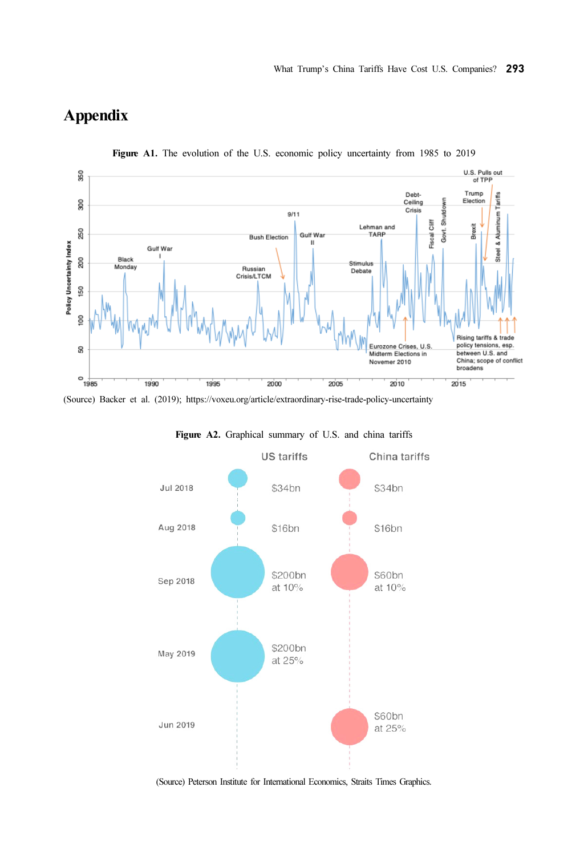# Appendix



Figure A1. The evolution of the U.S. economic policy uncertainty from 1985 to 2019

(Source) Backer et al. (2019); https://voxeu.org/article/extraordinary-rise-trade-policy-uncertainty



Figure A2. Graphical summary of U.S. and china tariffs

(Source) Peterson Institute for International Economics, Straits Times Graphics.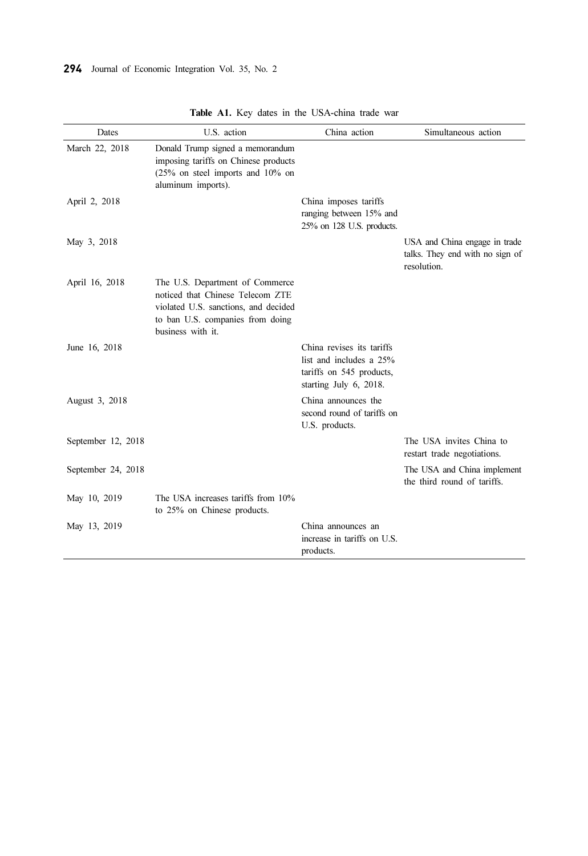| Dates              | U.S. action                                                                                                                                                          | China action                                                                                               | Simultaneous action                                                             |
|--------------------|----------------------------------------------------------------------------------------------------------------------------------------------------------------------|------------------------------------------------------------------------------------------------------------|---------------------------------------------------------------------------------|
| March 22, 2018     | Donald Trump signed a memorandum<br>imposing tariffs on Chinese products<br>$(25\%$ on steel imports and $10\%$ on<br>aluminum imports).                             |                                                                                                            |                                                                                 |
| April 2, 2018      |                                                                                                                                                                      | China imposes tariffs<br>ranging between 15% and<br>25% on 128 U.S. products.                              |                                                                                 |
| May 3, 2018        |                                                                                                                                                                      |                                                                                                            | USA and China engage in trade<br>talks. They end with no sign of<br>resolution. |
| April 16, 2018     | The U.S. Department of Commerce<br>noticed that Chinese Telecom ZTE<br>violated U.S. sanctions, and decided<br>to ban U.S. companies from doing<br>business with it. |                                                                                                            |                                                                                 |
| June 16, 2018      |                                                                                                                                                                      | China revises its tariffs<br>list and includes a 25%<br>tariffs on 545 products,<br>starting July 6, 2018. |                                                                                 |
| August 3, 2018     |                                                                                                                                                                      | China announces the<br>second round of tariffs on<br>U.S. products.                                        |                                                                                 |
| September 12, 2018 |                                                                                                                                                                      |                                                                                                            | The USA invites China to<br>restart trade negotiations.                         |
| September 24, 2018 |                                                                                                                                                                      |                                                                                                            | The USA and China implement<br>the third round of tariffs.                      |
| May 10, 2019       | The USA increases tariffs from 10%<br>to 25% on Chinese products.                                                                                                    |                                                                                                            |                                                                                 |
| May 13, 2019       |                                                                                                                                                                      | China announces an<br>increase in tariffs on U.S.<br>products.                                             |                                                                                 |

Table A1. Key dates in the USA-china trade war